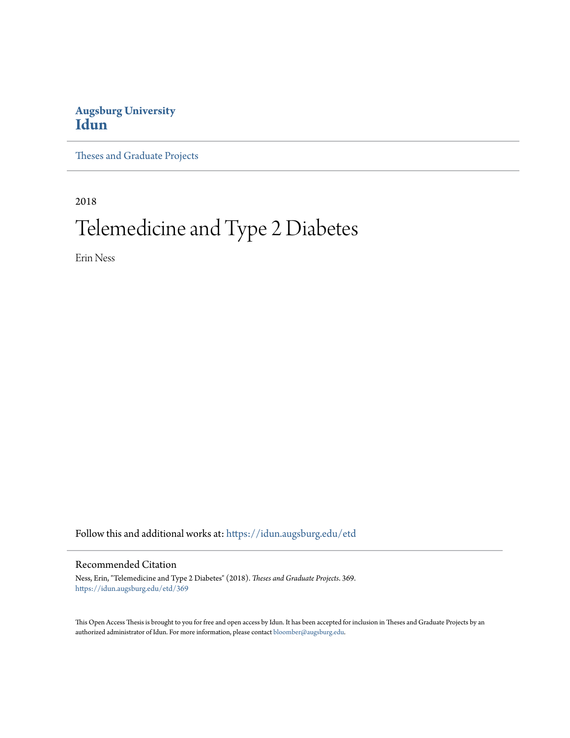# **Augsburg University [Idun](https://idun.augsburg.edu?utm_source=idun.augsburg.edu%2Fetd%2F369&utm_medium=PDF&utm_campaign=PDFCoverPages)**

[Theses and Graduate Projects](https://idun.augsburg.edu/etd?utm_source=idun.augsburg.edu%2Fetd%2F369&utm_medium=PDF&utm_campaign=PDFCoverPages)

2018

# Telemedicine and Type 2 Diabetes

Erin Ness

Follow this and additional works at: [https://idun.augsburg.edu/etd](https://idun.augsburg.edu/etd?utm_source=idun.augsburg.edu%2Fetd%2F369&utm_medium=PDF&utm_campaign=PDFCoverPages)

#### Recommended Citation

Ness, Erin, "Telemedicine and Type 2 Diabetes" (2018). *Theses and Graduate Projects*. 369. [https://idun.augsburg.edu/etd/369](https://idun.augsburg.edu/etd/369?utm_source=idun.augsburg.edu%2Fetd%2F369&utm_medium=PDF&utm_campaign=PDFCoverPages)

This Open Access Thesis is brought to you for free and open access by Idun. It has been accepted for inclusion in Theses and Graduate Projects by an authorized administrator of Idun. For more information, please contact [bloomber@augsburg.edu.](mailto:bloomber@augsburg.edu)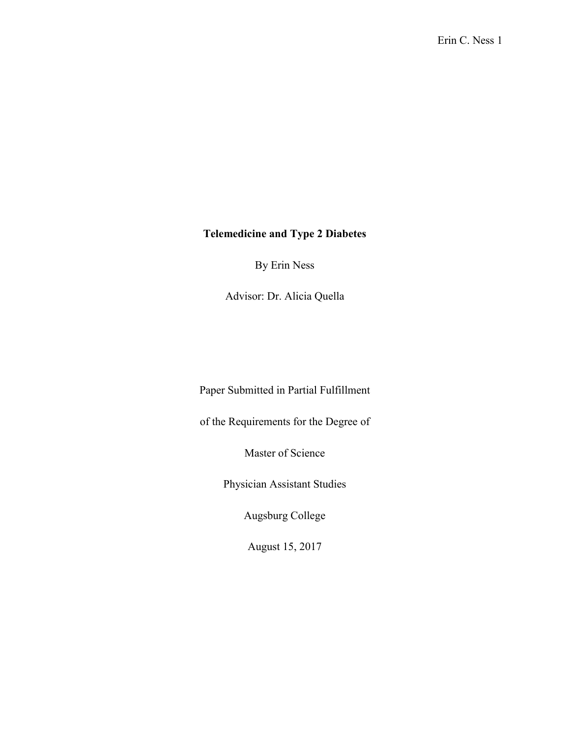# **Telemedicine and Type 2 Diabetes**

By Erin Ness

Advisor: Dr. Alicia Quella

Paper Submitted in Partial Fulfillment

of the Requirements for the Degree of

Master of Science

Physician Assistant Studies

Augsburg College

August 15, 2017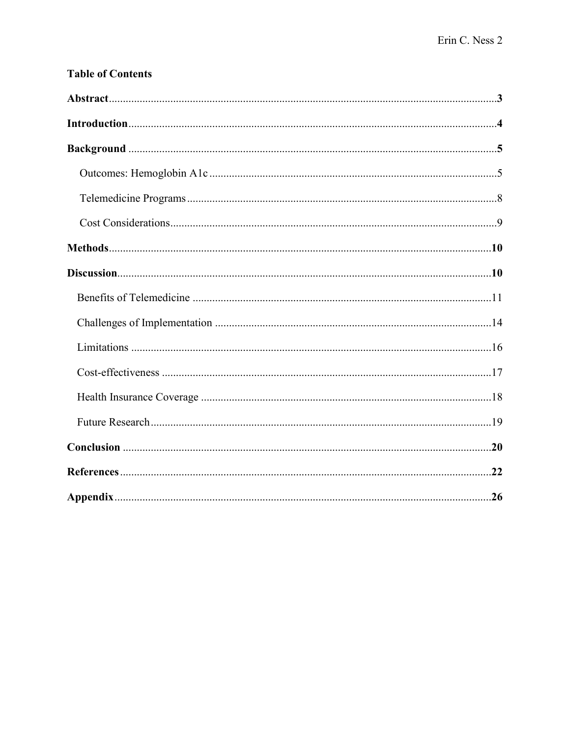| <b>Table of Contents</b> |  |
|--------------------------|--|
|                          |  |
|                          |  |
|                          |  |
|                          |  |
|                          |  |
|                          |  |
|                          |  |
|                          |  |
|                          |  |
|                          |  |
|                          |  |
|                          |  |
|                          |  |
|                          |  |
|                          |  |
|                          |  |
|                          |  |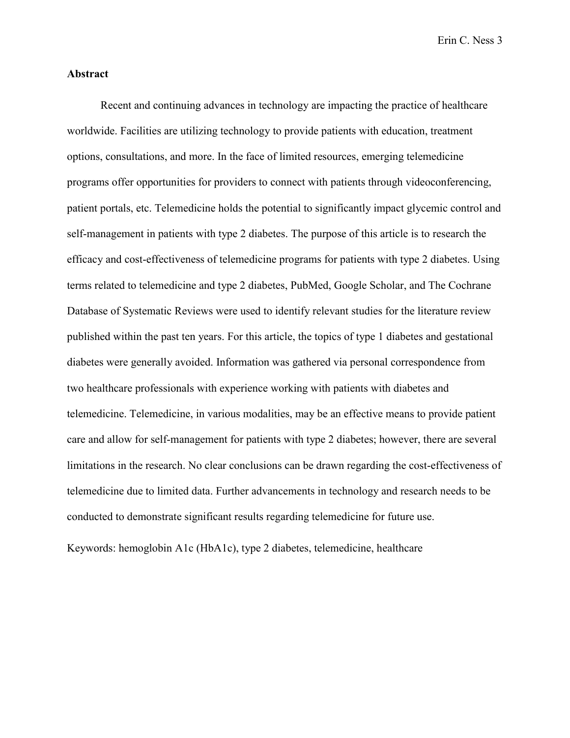### **Abstract**

Recent and continuing advances in technology are impacting the practice of healthcare worldwide. Facilities are utilizing technology to provide patients with education, treatment options, consultations, and more. In the face of limited resources, emerging telemedicine programs offer opportunities for providers to connect with patients through videoconferencing, patient portals, etc. Telemedicine holds the potential to significantly impact glycemic control and self-management in patients with type 2 diabetes. The purpose of this article is to research the efficacy and cost-effectiveness of telemedicine programs for patients with type 2 diabetes. Using terms related to telemedicine and type 2 diabetes, PubMed, Google Scholar, and The Cochrane Database of Systematic Reviews were used to identify relevant studies for the literature review published within the past ten years. For this article, the topics of type 1 diabetes and gestational diabetes were generally avoided. Information was gathered via personal correspondence from two healthcare professionals with experience working with patients with diabetes and telemedicine. Telemedicine, in various modalities, may be an effective means to provide patient care and allow for self-management for patients with type 2 diabetes; however, there are several limitations in the research. No clear conclusions can be drawn regarding the cost-effectiveness of telemedicine due to limited data. Further advancements in technology and research needs to be conducted to demonstrate significant results regarding telemedicine for future use.

Keywords: hemoglobin A1c (HbA1c), type 2 diabetes, telemedicine, healthcare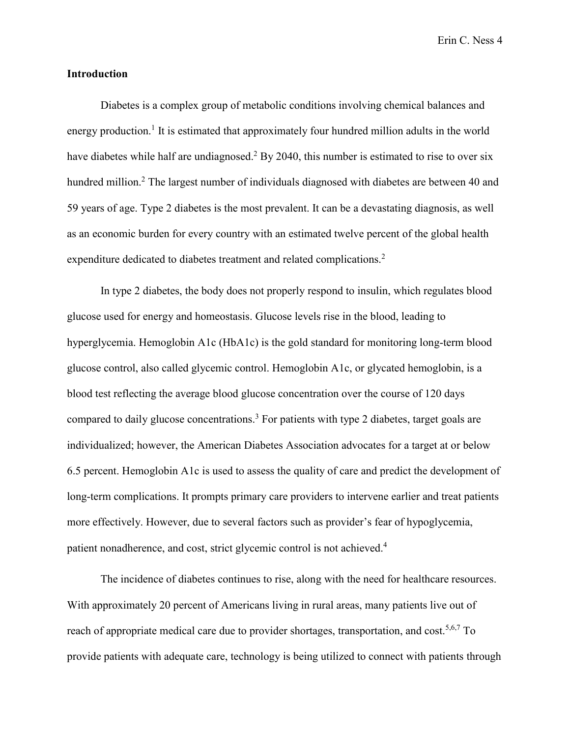## **Introduction**

Diabetes is a complex group of metabolic conditions involving chemical balances and energy production.<sup>1</sup> It is estimated that approximately four hundred million adults in the world have diabetes while half are undiagnosed.<sup>2</sup> By 2040, this number is estimated to rise to over six hundred million.<sup>2</sup> The largest number of individuals diagnosed with diabetes are between 40 and 59 years of age. Type 2 diabetes is the most prevalent. It can be a devastating diagnosis, as well as an economic burden for every country with an estimated twelve percent of the global health expenditure dedicated to diabetes treatment and related complications.<sup>2</sup>

In type 2 diabetes, the body does not properly respond to insulin, which regulates blood glucose used for energy and homeostasis. Glucose levels rise in the blood, leading to hyperglycemia. Hemoglobin A1c (HbA1c) is the gold standard for monitoring long-term blood glucose control, also called glycemic control. Hemoglobin A1c, or glycated hemoglobin, is a blood test reflecting the average blood glucose concentration over the course of 120 days compared to daily glucose concentrations.<sup>3</sup> For patients with type 2 diabetes, target goals are individualized; however, the American Diabetes Association advocates for a target at or below 6.5 percent. Hemoglobin A1c is used to assess the quality of care and predict the development of long-term complications. It prompts primary care providers to intervene earlier and treat patients more effectively. However, due to several factors such as provider's fear of hypoglycemia, patient nonadherence, and cost, strict glycemic control is not achieved.<sup>4</sup>

The incidence of diabetes continues to rise, along with the need for healthcare resources. With approximately 20 percent of Americans living in rural areas, many patients live out of reach of appropriate medical care due to provider shortages, transportation, and cost.<sup>5,6,7</sup> To provide patients with adequate care, technology is being utilized to connect with patients through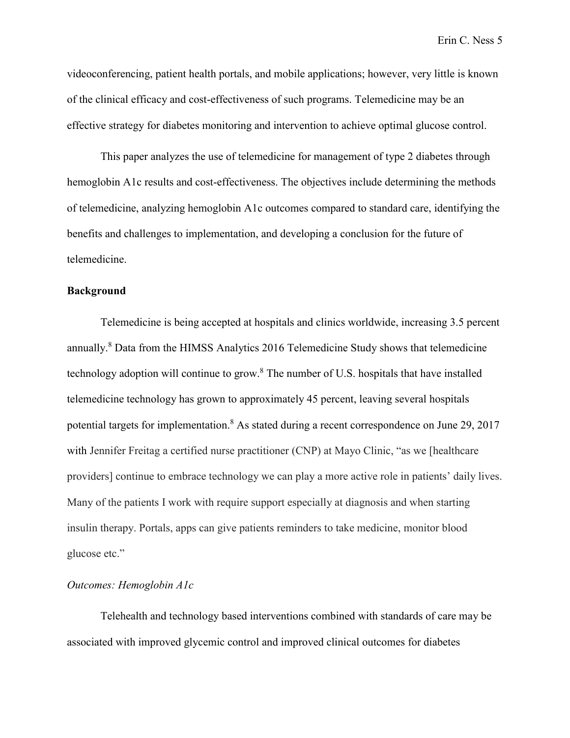videoconferencing, patient health portals, and mobile applications; however, very little is known of the clinical efficacy and cost-effectiveness of such programs. Telemedicine may be an effective strategy for diabetes monitoring and intervention to achieve optimal glucose control.

This paper analyzes the use of telemedicine for management of type 2 diabetes through hemoglobin A1c results and cost-effectiveness. The objectives include determining the methods of telemedicine, analyzing hemoglobin A1c outcomes compared to standard care, identifying the benefits and challenges to implementation, and developing a conclusion for the future of telemedicine.

#### **Background**

Telemedicine is being accepted at hospitals and clinics worldwide, increasing 3.5 percent annually.<sup>8</sup> Data from the HIMSS Analytics 2016 Telemedicine Study shows that telemedicine technology adoption will continue to grow.<sup>8</sup> The number of U.S. hospitals that have installed telemedicine technology has grown to approximately 45 percent, leaving several hospitals potential targets for implementation.<sup>8</sup> As stated during a recent correspondence on June 29, 2017 with Jennifer Freitag a certified nurse practitioner (CNP) at Mayo Clinic, "as we [healthcare providers] continue to embrace technology we can play a more active role in patients' daily lives. Many of the patients I work with require support especially at diagnosis and when starting insulin therapy. Portals, apps can give patients reminders to take medicine, monitor blood glucose etc."

## *Outcomes: Hemoglobin A1c*

Telehealth and technology based interventions combined with standards of care may be associated with improved glycemic control and improved clinical outcomes for diabetes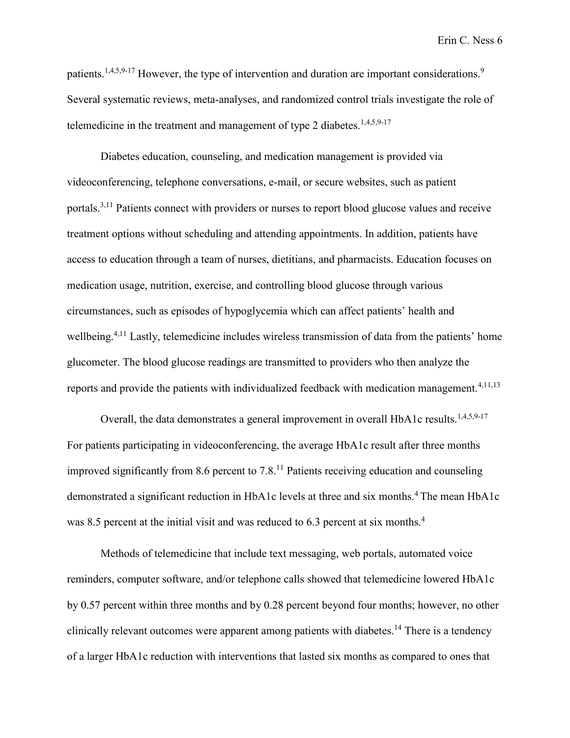patients.<sup>1,4,5,9-17</sup> However, the type of intervention and duration are important considerations.<sup>9</sup> Several systematic reviews, meta-analyses, and randomized control trials investigate the role of telemedicine in the treatment and management of type 2 diabetes.<sup>1,4,5,9-17</sup>

Diabetes education, counseling, and medication management is provided via videoconferencing, telephone conversations, e-mail, or secure websites, such as patient portals.3,11 Patients connect with providers or nurses to report blood glucose values and receive treatment options without scheduling and attending appointments. In addition, patients have access to education through a team of nurses, dietitians, and pharmacists. Education focuses on medication usage, nutrition, exercise, and controlling blood glucose through various circumstances, such as episodes of hypoglycemia which can affect patients' health and wellbeing.<sup>4,11</sup> Lastly, telemedicine includes wireless transmission of data from the patients' home glucometer. The blood glucose readings are transmitted to providers who then analyze the reports and provide the patients with individualized feedback with medication management.<sup>4,11,13</sup>

Overall, the data demonstrates a general improvement in overall HbA1c results.<sup>1,4,5,9-17</sup> For patients participating in videoconferencing, the average HbA1c result after three months improved significantly from 8.6 percent to 7.8. <sup>11</sup> Patients receiving education and counseling demonstrated a significant reduction in HbA1c levels at three and six months.<sup>4</sup> The mean HbA1c was 8.5 percent at the initial visit and was reduced to 6.3 percent at six months.<sup>4</sup>

Methods of telemedicine that include text messaging, web portals, automated voice reminders, computer software, and/or telephone calls showed that telemedicine lowered HbA1c by 0.57 percent within three months and by 0.28 percent beyond four months; however, no other clinically relevant outcomes were apparent among patients with diabetes.<sup>14</sup> There is a tendency of a larger HbA1c reduction with interventions that lasted six months as compared to ones that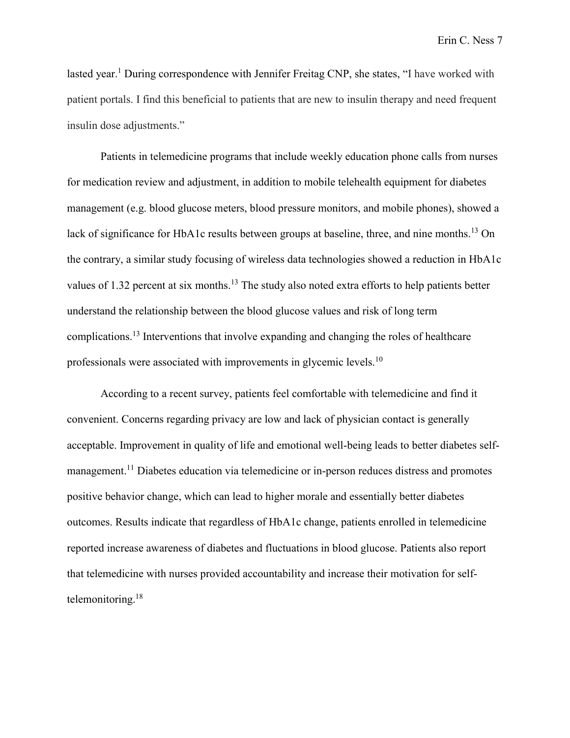lasted year.<sup>1</sup> During correspondence with Jennifer Freitag CNP, she states, "I have worked with patient portals. I find this beneficial to patients that are new to insulin therapy and need frequent insulin dose adjustments."

Patients in telemedicine programs that include weekly education phone calls from nurses for medication review and adjustment, in addition to mobile telehealth equipment for diabetes management (e.g. blood glucose meters, blood pressure monitors, and mobile phones), showed a lack of significance for HbA1c results between groups at baseline, three, and nine months.<sup>13</sup> On the contrary, a similar study focusing of wireless data technologies showed a reduction in HbA1c values of 1.32 percent at six months.<sup>13</sup> The study also noted extra efforts to help patients better understand the relationship between the blood glucose values and risk of long term complications.<sup>13</sup> Interventions that involve expanding and changing the roles of healthcare professionals were associated with improvements in glycemic levels.<sup>10</sup>

According to a recent survey, patients feel comfortable with telemedicine and find it convenient. Concerns regarding privacy are low and lack of physician contact is generally acceptable. Improvement in quality of life and emotional well-being leads to better diabetes selfmanagement.<sup>11</sup> Diabetes education via telemedicine or in-person reduces distress and promotes positive behavior change, which can lead to higher morale and essentially better diabetes outcomes. Results indicate that regardless of HbA1c change, patients enrolled in telemedicine reported increase awareness of diabetes and fluctuations in blood glucose. Patients also report that telemedicine with nurses provided accountability and increase their motivation for selftelemonitoring. 18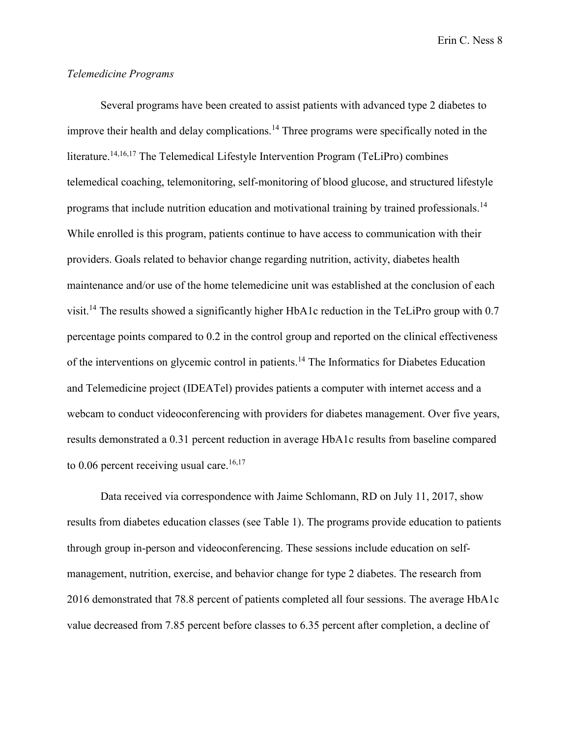## *Telemedicine Programs*

Several programs have been created to assist patients with advanced type 2 diabetes to improve their health and delay complications.<sup>14</sup> Three programs were specifically noted in the literature.<sup>14,16,17</sup> The Telemedical Lifestyle Intervention Program (TeLiPro) combines telemedical coaching, telemonitoring, self-monitoring of blood glucose, and structured lifestyle programs that include nutrition education and motivational training by trained professionals.<sup>14</sup> While enrolled is this program, patients continue to have access to communication with their providers. Goals related to behavior change regarding nutrition, activity, diabetes health maintenance and/or use of the home telemedicine unit was established at the conclusion of each visit.<sup>14</sup> The results showed a significantly higher HbA1c reduction in the TeLiPro group with 0.7 percentage points compared to 0.2 in the control group and reported on the clinical effectiveness of the interventions on glycemic control in patients.<sup>14</sup> The Informatics for Diabetes Education and Telemedicine project (IDEATel) provides patients a computer with internet access and a webcam to conduct videoconferencing with providers for diabetes management. Over five years, results demonstrated a 0.31 percent reduction in average HbA1c results from baseline compared to 0.06 percent receiving usual care.<sup>16,17</sup>

Data received via correspondence with Jaime Schlomann, RD on July 11, 2017, show results from diabetes education classes (see Table 1). The programs provide education to patients through group in-person and videoconferencing. These sessions include education on selfmanagement, nutrition, exercise, and behavior change for type 2 diabetes. The research from 2016 demonstrated that 78.8 percent of patients completed all four sessions. The average HbA1c value decreased from 7.85 percent before classes to 6.35 percent after completion, a decline of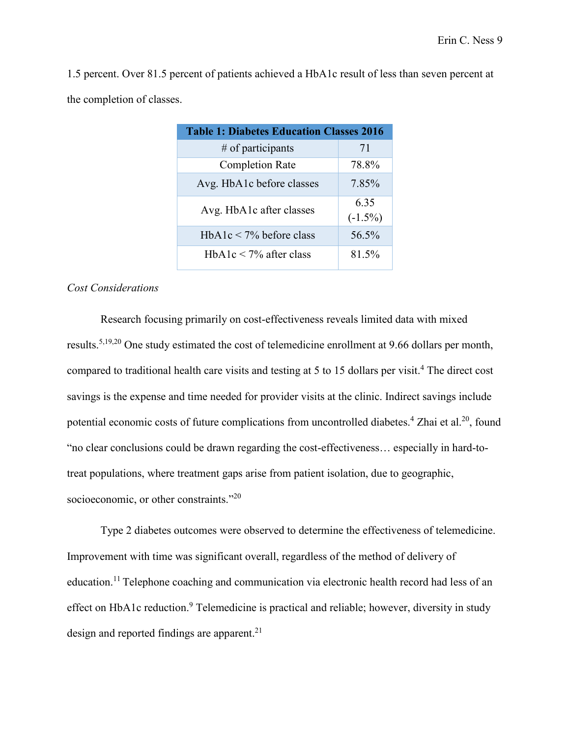1.5 percent. Over 81.5 percent of patients achieved a HbA1c result of less than seven percent at the completion of classes.

| <b>Table 1: Diabetes Education Classes 2016</b> |            |
|-------------------------------------------------|------------|
| $#$ of participants                             | 71         |
| <b>Completion Rate</b>                          | 78.8%      |
| Avg. HbA1c before classes                       | 7.85%      |
| Avg. HbA1c after classes                        | 635        |
|                                                 | $(-1.5\%)$ |
| $HbA1c < 7\%$ before class                      | 56.5%      |
| HbA1c $\leq$ 7% after class                     | 81.5%      |

## *Cost Considerations*

Research focusing primarily on cost-effectiveness reveals limited data with mixed results.5,19,20 One study estimated the cost of telemedicine enrollment at 9.66 dollars per month, compared to traditional health care visits and testing at 5 to 15 dollars per visit.<sup>4</sup> The direct cost savings is the expense and time needed for provider visits at the clinic. Indirect savings include potential economic costs of future complications from uncontrolled diabetes.<sup>4</sup> Zhai et al.<sup>20</sup>, found "no clear conclusions could be drawn regarding the cost-effectiveness… especially in hard-totreat populations, where treatment gaps arise from patient isolation, due to geographic, socioeconomic, or other constraints."<sup>20</sup>

Type 2 diabetes outcomes were observed to determine the effectiveness of telemedicine. Improvement with time was significant overall, regardless of the method of delivery of education.11 Telephone coaching and communication via electronic health record had less of an effect on HbA1c reduction.<sup>9</sup> Telemedicine is practical and reliable; however, diversity in study design and reported findings are apparent.<sup>21</sup>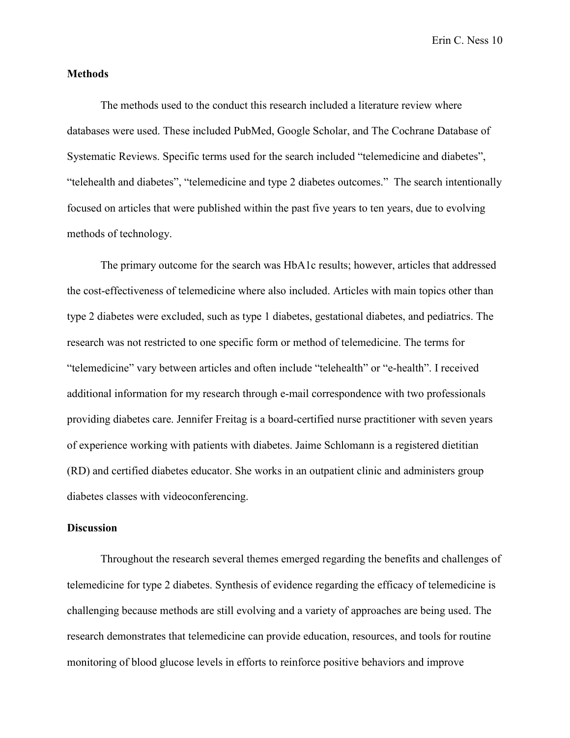#### **Methods**

The methods used to the conduct this research included a literature review where databases were used. These included PubMed, Google Scholar, and The Cochrane Database of Systematic Reviews. Specific terms used for the search included "telemedicine and diabetes", "telehealth and diabetes", "telemedicine and type 2 diabetes outcomes." The search intentionally focused on articles that were published within the past five years to ten years, due to evolving methods of technology.

The primary outcome for the search was HbA1c results; however, articles that addressed the cost-effectiveness of telemedicine where also included. Articles with main topics other than type 2 diabetes were excluded, such as type 1 diabetes, gestational diabetes, and pediatrics. The research was not restricted to one specific form or method of telemedicine. The terms for "telemedicine" vary between articles and often include "telehealth" or "e-health". I received additional information for my research through e-mail correspondence with two professionals providing diabetes care. Jennifer Freitag is a board-certified nurse practitioner with seven years of experience working with patients with diabetes. Jaime Schlomann is a registered dietitian (RD) and certified diabetes educator. She works in an outpatient clinic and administers group diabetes classes with videoconferencing.

## **Discussion**

Throughout the research several themes emerged regarding the benefits and challenges of telemedicine for type 2 diabetes. Synthesis of evidence regarding the efficacy of telemedicine is challenging because methods are still evolving and a variety of approaches are being used. The research demonstrates that telemedicine can provide education, resources, and tools for routine monitoring of blood glucose levels in efforts to reinforce positive behaviors and improve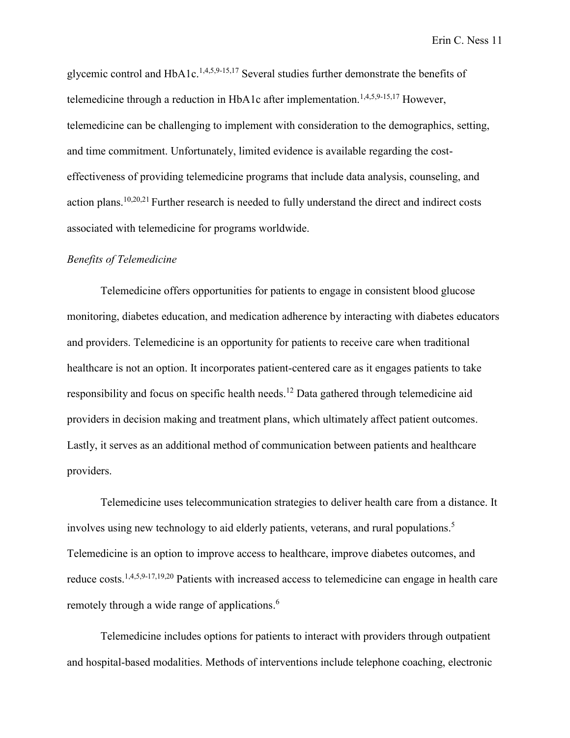glycemic control and HbA1c.<sup>1,4,5,9-15,17</sup> Several studies further demonstrate the benefits of telemedicine through a reduction in HbA1c after implementation.<sup>1,4,5,9-15,17</sup> However, telemedicine can be challenging to implement with consideration to the demographics, setting, and time commitment. Unfortunately, limited evidence is available regarding the costeffectiveness of providing telemedicine programs that include data analysis, counseling, and action plans.<sup>10,20,21</sup> Further research is needed to fully understand the direct and indirect costs associated with telemedicine for programs worldwide.

## *Benefits of Telemedicine*

Telemedicine offers opportunities for patients to engage in consistent blood glucose monitoring, diabetes education, and medication adherence by interacting with diabetes educators and providers. Telemedicine is an opportunity for patients to receive care when traditional healthcare is not an option. It incorporates patient-centered care as it engages patients to take responsibility and focus on specific health needs.<sup>12</sup> Data gathered through telemedicine aid providers in decision making and treatment plans, which ultimately affect patient outcomes. Lastly, it serves as an additional method of communication between patients and healthcare providers.

Telemedicine uses telecommunication strategies to deliver health care from a distance. It involves using new technology to aid elderly patients, veterans, and rural populations.<sup>5</sup> Telemedicine is an option to improve access to healthcare, improve diabetes outcomes, and reduce costs.1,4,5,9-17,19,20 Patients with increased access to telemedicine can engage in health care remotely through a wide range of applications. 6

Telemedicine includes options for patients to interact with providers through outpatient and hospital-based modalities. Methods of interventions include telephone coaching, electronic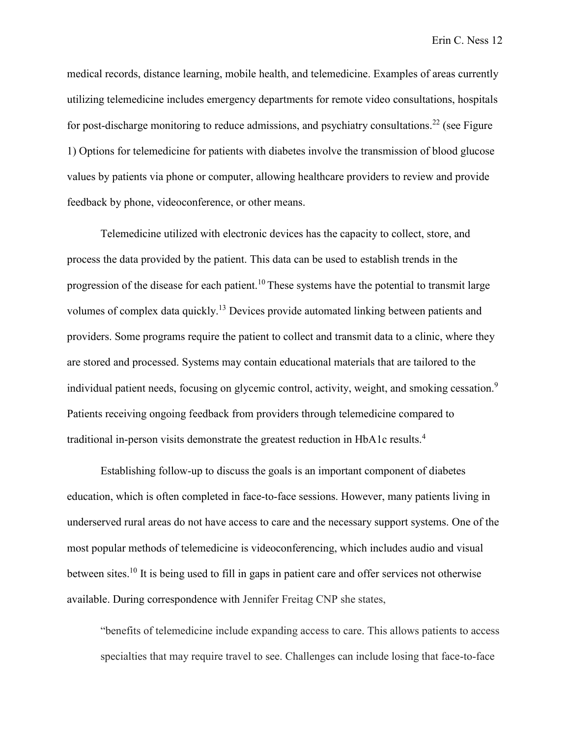medical records, distance learning, mobile health, and telemedicine. Examples of areas currently utilizing telemedicine includes emergency departments for remote video consultations, hospitals for post-discharge monitoring to reduce admissions, and psychiatry consultations.<sup>22</sup> (see Figure 1) Options for telemedicine for patients with diabetes involve the transmission of blood glucose values by patients via phone or computer, allowing healthcare providers to review and provide feedback by phone, videoconference, or other means.

Telemedicine utilized with electronic devices has the capacity to collect, store, and process the data provided by the patient. This data can be used to establish trends in the progression of the disease for each patient.10 These systems have the potential to transmit large volumes of complex data quickly.<sup>13</sup> Devices provide automated linking between patients and providers. Some programs require the patient to collect and transmit data to a clinic, where they are stored and processed. Systems may contain educational materials that are tailored to the individual patient needs, focusing on glycemic control, activity, weight, and smoking cessation.<sup>9</sup> Patients receiving ongoing feedback from providers through telemedicine compared to traditional in-person visits demonstrate the greatest reduction in HbA1c results.<sup>4</sup>

Establishing follow-up to discuss the goals is an important component of diabetes education, which is often completed in face-to-face sessions. However, many patients living in underserved rural areas do not have access to care and the necessary support systems. One of the most popular methods of telemedicine is videoconferencing, which includes audio and visual between sites.<sup>10</sup> It is being used to fill in gaps in patient care and offer services not otherwise available. During correspondence with Jennifer Freitag CNP she states,

"benefits of telemedicine include expanding access to care. This allows patients to access specialties that may require travel to see. Challenges can include losing that face-to-face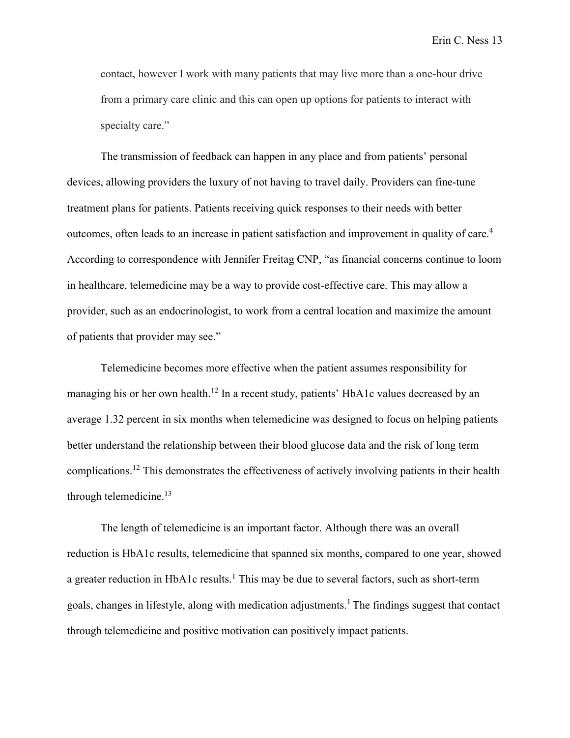contact, however I work with many patients that may live more than a one-hour drive from a primary care clinic and this can open up options for patients to interact with specialty care."

The transmission of feedback can happen in any place and from patients' personal devices, allowing providers the luxury of not having to travel daily. Providers can fine-tune treatment plans for patients. Patients receiving quick responses to their needs with better outcomes, often leads to an increase in patient satisfaction and improvement in quality of care.<sup>4</sup> According to correspondence with Jennifer Freitag CNP, "as financial concerns continue to loom in healthcare, telemedicine may be a way to provide cost-effective care. This may allow a provider, such as an endocrinologist, to work from a central location and maximize the amount of patients that provider may see."

Telemedicine becomes more effective when the patient assumes responsibility for managing his or her own health.<sup>12</sup> In a recent study, patients' HbA1c values decreased by an average 1.32 percent in six months when telemedicine was designed to focus on helping patients better understand the relationship between their blood glucose data and the risk of long term complications. <sup>12</sup> This demonstrates the effectiveness of actively involving patients in their health through telemedicine. $13$ 

The length of telemedicine is an important factor. Although there was an overall reduction is HbA1c results, telemedicine that spanned six months, compared to one year, showed a greater reduction in HbA1c results.<sup>1</sup> This may be due to several factors, such as short-term goals, changes in lifestyle, along with medication adjustments. 1 The findings suggest that contact through telemedicine and positive motivation can positively impact patients.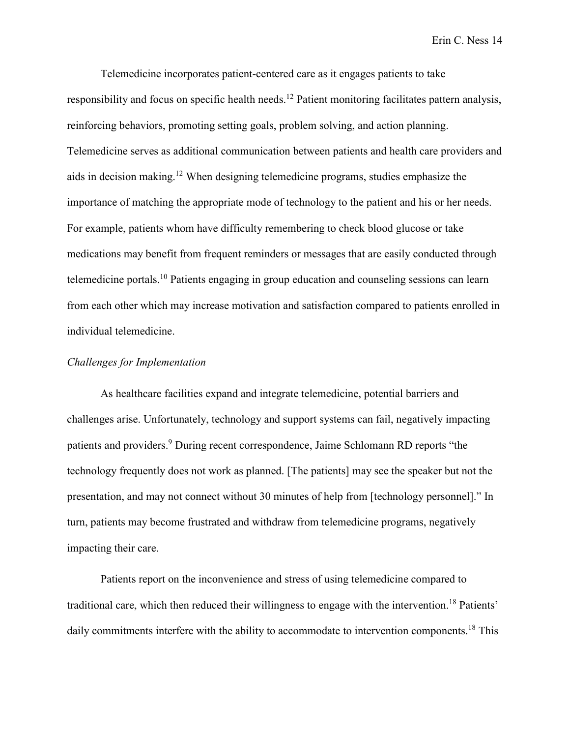Telemedicine incorporates patient-centered care as it engages patients to take responsibility and focus on specific health needs.<sup>12</sup> Patient monitoring facilitates pattern analysis, reinforcing behaviors, promoting setting goals, problem solving, and action planning. Telemedicine serves as additional communication between patients and health care providers and aids in decision making.<sup>12</sup> When designing telemedicine programs, studies emphasize the importance of matching the appropriate mode of technology to the patient and his or her needs. For example, patients whom have difficulty remembering to check blood glucose or take medications may benefit from frequent reminders or messages that are easily conducted through telemedicine portals.<sup>10</sup> Patients engaging in group education and counseling sessions can learn from each other which may increase motivation and satisfaction compared to patients enrolled in individual telemedicine.

#### *Challenges for Implementation*

As healthcare facilities expand and integrate telemedicine, potential barriers and challenges arise. Unfortunately, technology and support systems can fail, negatively impacting patients and providers. <sup>9</sup> During recent correspondence, Jaime Schlomann RD reports "the technology frequently does not work as planned. [The patients] may see the speaker but not the presentation, and may not connect without 30 minutes of help from [technology personnel]." In turn, patients may become frustrated and withdraw from telemedicine programs, negatively impacting their care.

Patients report on the inconvenience and stress of using telemedicine compared to traditional care, which then reduced their willingness to engage with the intervention. <sup>18</sup> Patients' daily commitments interfere with the ability to accommodate to intervention components.<sup>18</sup> This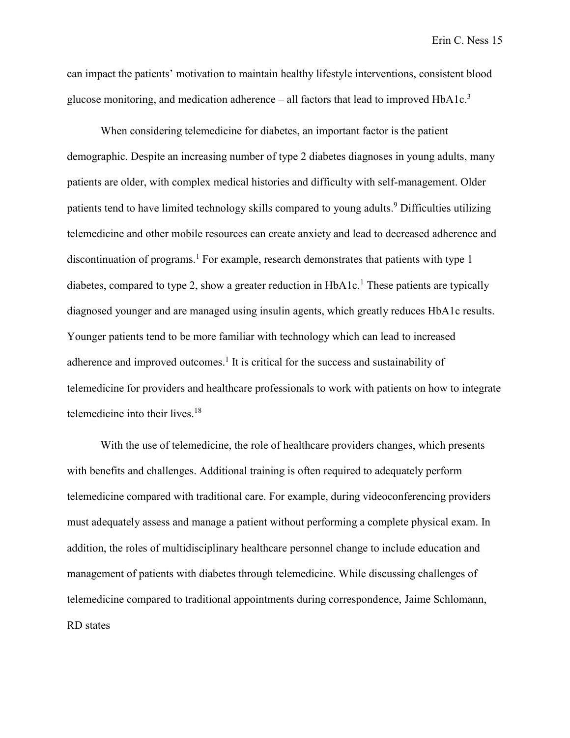can impact the patients' motivation to maintain healthy lifestyle interventions, consistent blood glucose monitoring, and medication adherence  $-$  all factors that lead to improved HbA1c.<sup>3</sup>

When considering telemedicine for diabetes, an important factor is the patient demographic. Despite an increasing number of type 2 diabetes diagnoses in young adults, many patients are older, with complex medical histories and difficulty with self-management. Older patients tend to have limited technology skills compared to young adults. <sup>9</sup> Difficulties utilizing telemedicine and other mobile resources can create anxiety and lead to decreased adherence and discontinuation of programs.<sup>1</sup> For example, research demonstrates that patients with type 1 diabetes, compared to type 2, show a greater reduction in HbA1c.<sup>1</sup> These patients are typically diagnosed younger and are managed using insulin agents, which greatly reduces HbA1c results. Younger patients tend to be more familiar with technology which can lead to increased adherence and improved outcomes.<sup>1</sup> It is critical for the success and sustainability of telemedicine for providers and healthcare professionals to work with patients on how to integrate telemedicine into their lives.<sup>18</sup>

With the use of telemedicine, the role of healthcare providers changes, which presents with benefits and challenges. Additional training is often required to adequately perform telemedicine compared with traditional care. For example, during videoconferencing providers must adequately assess and manage a patient without performing a complete physical exam. In addition, the roles of multidisciplinary healthcare personnel change to include education and management of patients with diabetes through telemedicine. While discussing challenges of telemedicine compared to traditional appointments during correspondence, Jaime Schlomann, RD states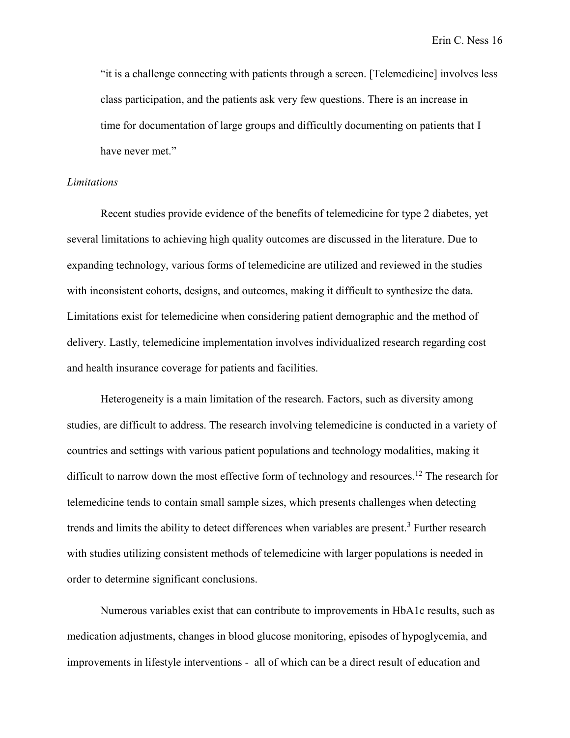"it is a challenge connecting with patients through a screen. [Telemedicine] involves less class participation, and the patients ask very few questions. There is an increase in time for documentation of large groups and difficultly documenting on patients that I have never met."

#### *Limitations*

Recent studies provide evidence of the benefits of telemedicine for type 2 diabetes, yet several limitations to achieving high quality outcomes are discussed in the literature. Due to expanding technology, various forms of telemedicine are utilized and reviewed in the studies with inconsistent cohorts, designs, and outcomes, making it difficult to synthesize the data. Limitations exist for telemedicine when considering patient demographic and the method of delivery. Lastly, telemedicine implementation involves individualized research regarding cost and health insurance coverage for patients and facilities.

Heterogeneity is a main limitation of the research. Factors, such as diversity among studies, are difficult to address. The research involving telemedicine is conducted in a variety of countries and settings with various patient populations and technology modalities, making it difficult to narrow down the most effective form of technology and resources.<sup>12</sup> The research for telemedicine tends to contain small sample sizes, which presents challenges when detecting trends and limits the ability to detect differences when variables are present.<sup>3</sup> Further research with studies utilizing consistent methods of telemedicine with larger populations is needed in order to determine significant conclusions.

Numerous variables exist that can contribute to improvements in HbA1c results, such as medication adjustments, changes in blood glucose monitoring, episodes of hypoglycemia, and improvements in lifestyle interventions - all of which can be a direct result of education and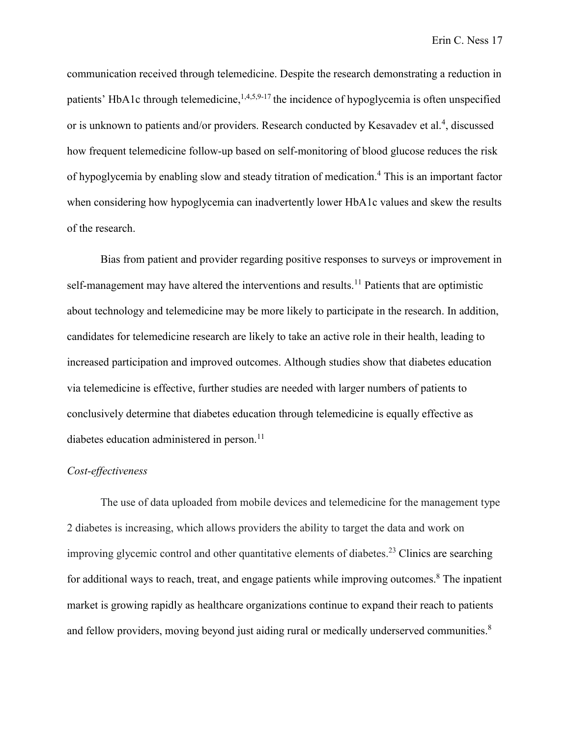communication received through telemedicine. Despite the research demonstrating a reduction in patients' HbA1c through telemedicine,  $1,4,5,9-17$  the incidence of hypoglycemia is often unspecified or is unknown to patients and/or providers. Research conducted by Kesavadev et al.<sup>4</sup>, discussed how frequent telemedicine follow-up based on self-monitoring of blood glucose reduces the risk of hypoglycemia by enabling slow and steady titration of medication.<sup>4</sup> This is an important factor when considering how hypoglycemia can inadvertently lower HbA1c values and skew the results of the research.

Bias from patient and provider regarding positive responses to surveys or improvement in self-management may have altered the interventions and results.<sup>11</sup> Patients that are optimistic about technology and telemedicine may be more likely to participate in the research. In addition, candidates for telemedicine research are likely to take an active role in their health, leading to increased participation and improved outcomes. Although studies show that diabetes education via telemedicine is effective, further studies are needed with larger numbers of patients to conclusively determine that diabetes education through telemedicine is equally effective as diabetes education administered in person.<sup>11</sup>

### *Cost-effectiveness*

The use of data uploaded from mobile devices and telemedicine for the management type 2 diabetes is increasing, which allows providers the ability to target the data and work on improving glycemic control and other quantitative elements of diabetes.<sup>23</sup> Clinics are searching for additional ways to reach, treat, and engage patients while improving outcomes.<sup>8</sup> The inpatient market is growing rapidly as healthcare organizations continue to expand their reach to patients and fellow providers, moving beyond just aiding rural or medically underserved communities.<sup>8</sup>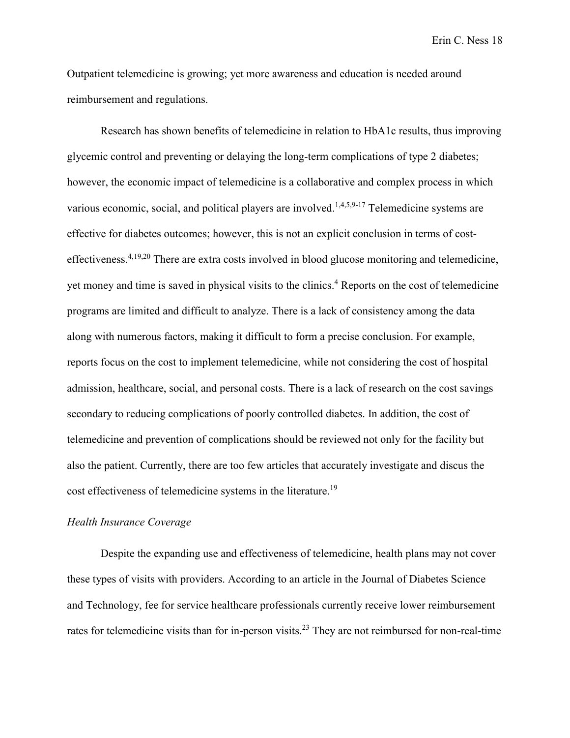Outpatient telemedicine is growing; yet more awareness and education is needed around reimbursement and regulations.

Research has shown benefits of telemedicine in relation to HbA1c results, thus improving glycemic control and preventing or delaying the long-term complications of type 2 diabetes; however, the economic impact of telemedicine is a collaborative and complex process in which various economic, social, and political players are involved.<sup>1,4,5,9-17</sup> Telemedicine systems are effective for diabetes outcomes; however, this is not an explicit conclusion in terms of costeffectiveness.<sup>4,19,20</sup> There are extra costs involved in blood glucose monitoring and telemedicine, yet money and time is saved in physical visits to the clinics. <sup>4</sup> Reports on the cost of telemedicine programs are limited and difficult to analyze. There is a lack of consistency among the data along with numerous factors, making it difficult to form a precise conclusion. For example, reports focus on the cost to implement telemedicine, while not considering the cost of hospital admission, healthcare, social, and personal costs. There is a lack of research on the cost savings secondary to reducing complications of poorly controlled diabetes. In addition, the cost of telemedicine and prevention of complications should be reviewed not only for the facility but also the patient. Currently, there are too few articles that accurately investigate and discus the cost effectiveness of telemedicine systems in the literature.<sup>19</sup>

## *Health Insurance Coverage*

Despite the expanding use and effectiveness of telemedicine, health plans may not cover these types of visits with providers. According to an article in the Journal of Diabetes Science and Technology, fee for service healthcare professionals currently receive lower reimbursement rates for telemedicine visits than for in-person visits.<sup>23</sup> They are not reimbursed for non-real-time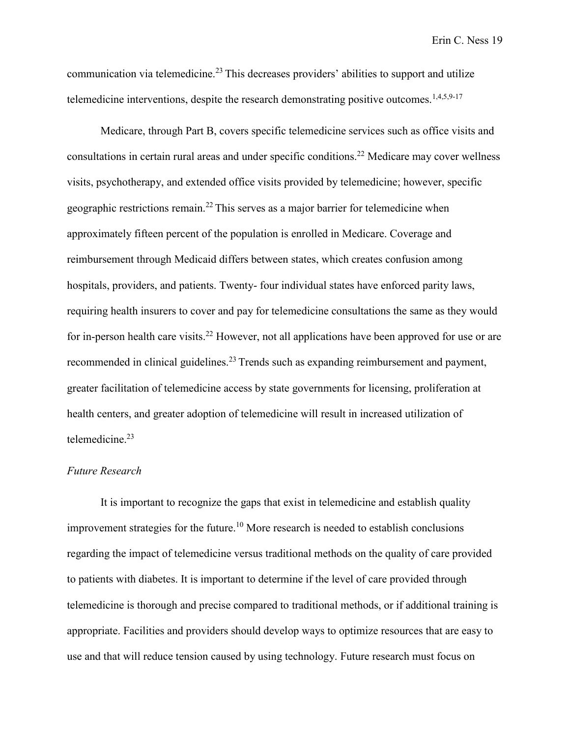communication via telemedicine.<sup>23</sup> This decreases providers' abilities to support and utilize telemedicine interventions, despite the research demonstrating positive outcomes.  $1,4,5,9-17$ 

Medicare, through Part B, covers specific telemedicine services such as office visits and consultations in certain rural areas and under specific conditions.<sup>22</sup> Medicare may cover wellness visits, psychotherapy, and extended office visits provided by telemedicine; however, specific geographic restrictions remain.22 This serves as a major barrier for telemedicine when approximately fifteen percent of the population is enrolled in Medicare. Coverage and reimbursement through Medicaid differs between states, which creates confusion among hospitals, providers, and patients. Twenty- four individual states have enforced parity laws, requiring health insurers to cover and pay for telemedicine consultations the same as they would for in-person health care visits.<sup>22</sup> However, not all applications have been approved for use or are recommended in clinical guidelines.<sup>23</sup> Trends such as expanding reimbursement and payment, greater facilitation of telemedicine access by state governments for licensing, proliferation at health centers, and greater adoption of telemedicine will result in increased utilization of telemedicine.<sup>23</sup>

### *Future Research*

It is important to recognize the gaps that exist in telemedicine and establish quality improvement strategies for the future. <sup>10</sup> More research is needed to establish conclusions regarding the impact of telemedicine versus traditional methods on the quality of care provided to patients with diabetes. It is important to determine if the level of care provided through telemedicine is thorough and precise compared to traditional methods, or if additional training is appropriate. Facilities and providers should develop ways to optimize resources that are easy to use and that will reduce tension caused by using technology. Future research must focus on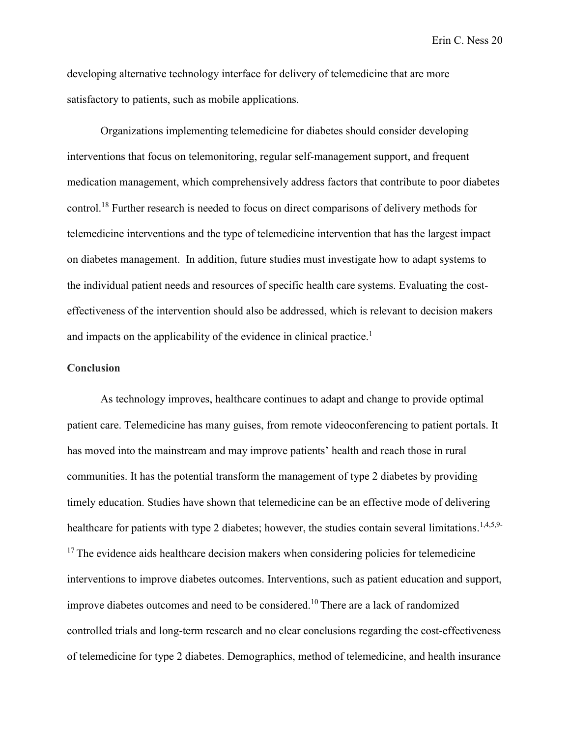developing alternative technology interface for delivery of telemedicine that are more satisfactory to patients, such as mobile applications.

Organizations implementing telemedicine for diabetes should consider developing interventions that focus on telemonitoring, regular self-management support, and frequent medication management, which comprehensively address factors that contribute to poor diabetes control.<sup>18</sup> Further research is needed to focus on direct comparisons of delivery methods for telemedicine interventions and the type of telemedicine intervention that has the largest impact on diabetes management. In addition, future studies must investigate how to adapt systems to the individual patient needs and resources of specific health care systems. Evaluating the costeffectiveness of the intervention should also be addressed, which is relevant to decision makers and impacts on the applicability of the evidence in clinical practice.<sup>1</sup>

#### **Conclusion**

As technology improves, healthcare continues to adapt and change to provide optimal patient care. Telemedicine has many guises, from remote videoconferencing to patient portals. It has moved into the mainstream and may improve patients' health and reach those in rural communities. It has the potential transform the management of type 2 diabetes by providing timely education. Studies have shown that telemedicine can be an effective mode of delivering healthcare for patients with type 2 diabetes; however, the studies contain several limitations.<sup>1,4,5,9-</sup> <sup>17</sup> The evidence aids healthcare decision makers when considering policies for telemedicine interventions to improve diabetes outcomes. Interventions, such as patient education and support, improve diabetes outcomes and need to be considered.10 There are a lack of randomized controlled trials and long-term research and no clear conclusions regarding the cost-effectiveness of telemedicine for type 2 diabetes. Demographics, method of telemedicine, and health insurance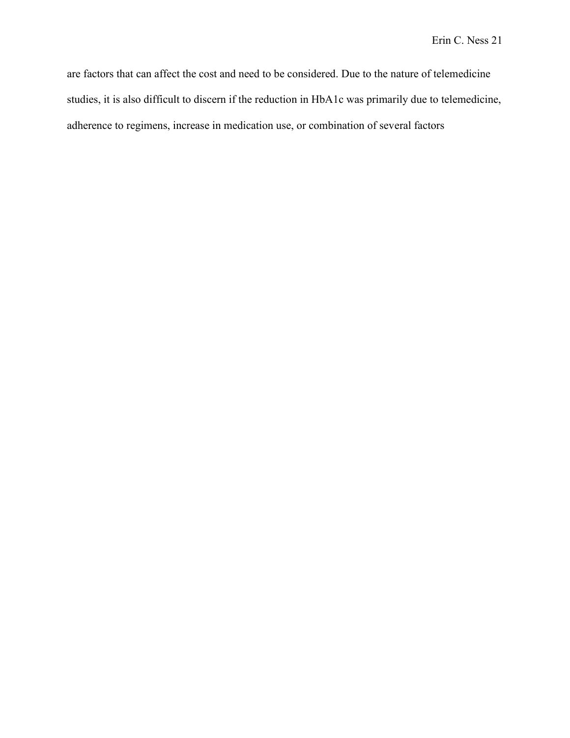are factors that can affect the cost and need to be considered. Due to the nature of telemedicine studies, it is also difficult to discern if the reduction in HbA1c was primarily due to telemedicine, adherence to regimens, increase in medication use, or combination of several factors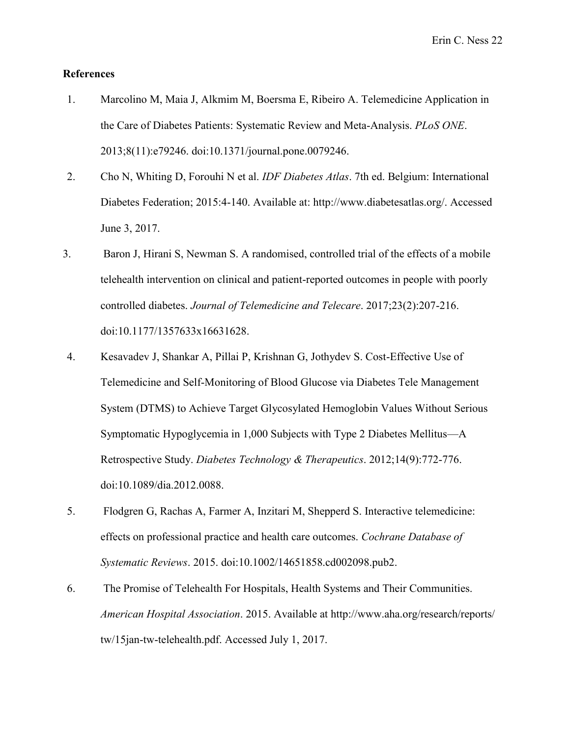## **References**

- 1. Marcolino M, Maia J, Alkmim M, Boersma E, Ribeiro A. Telemedicine Application in the Care of Diabetes Patients: Systematic Review and Meta-Analysis. *PLoS ONE*. 2013;8(11):e79246. doi:10.1371/journal.pone.0079246.
- 2. Cho N, Whiting D, Forouhi N et al. *IDF Diabetes Atlas*. 7th ed. Belgium: International Diabetes Federation; 2015:4-140. Available at: http://www.diabetesatlas.org/. Accessed June 3, 2017.
- 3. Baron J, Hirani S, Newman S. A randomised, controlled trial of the effects of a mobile telehealth intervention on clinical and patient-reported outcomes in people with poorly controlled diabetes. *Journal of Telemedicine and Telecare*. 2017;23(2):207-216. doi:10.1177/1357633x16631628.
- 4. Kesavadev J, Shankar A, Pillai P, Krishnan G, Jothydev S. Cost-Effective Use of Telemedicine and Self-Monitoring of Blood Glucose via Diabetes Tele Management System (DTMS) to Achieve Target Glycosylated Hemoglobin Values Without Serious Symptomatic Hypoglycemia in 1,000 Subjects with Type 2 Diabetes Mellitus—A Retrospective Study. *Diabetes Technology & Therapeutics*. 2012;14(9):772-776. doi:10.1089/dia.2012.0088.
- 5. Flodgren G, Rachas A, Farmer A, Inzitari M, Shepperd S. Interactive telemedicine: effects on professional practice and health care outcomes. *Cochrane Database of Systematic Reviews*. 2015. doi:10.1002/14651858.cd002098.pub2.
- 6. The Promise of Telehealth For Hospitals, Health Systems and Their Communities. *American Hospital Association*. 2015. Available at http://www.aha.org/research/reports/ tw/15jan-tw-telehealth.pdf. Accessed July 1, 2017.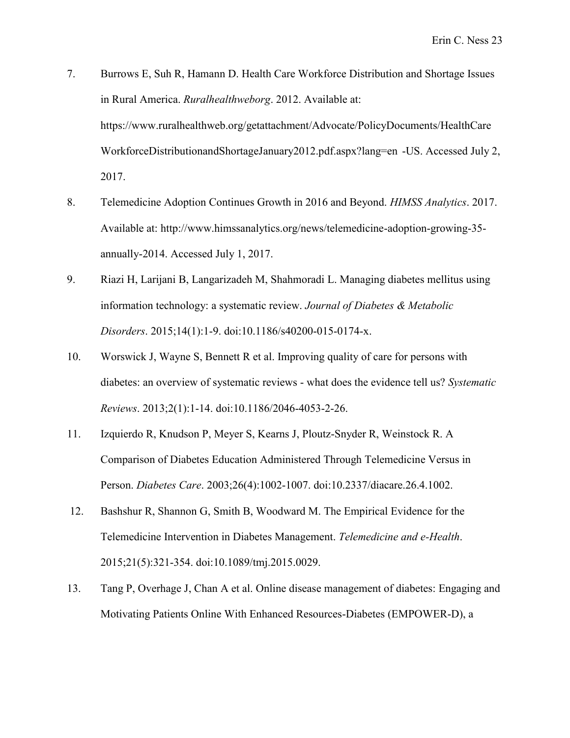- 7. Burrows E, Suh R, Hamann D. Health Care Workforce Distribution and Shortage Issues in Rural America. *Ruralhealthweborg*. 2012. Available at: https://www.ruralhealthweb.org/getattachment/Advocate/PolicyDocuments/HealthCare WorkforceDistributionandShortageJanuary2012.pdf.aspx?lang=en -US. Accessed July 2, 2017.
- 8. Telemedicine Adoption Continues Growth in 2016 and Beyond. *HIMSS Analytics*. 2017. Available at: http://www.himssanalytics.org/news/telemedicine-adoption-growing-35 annually-2014. Accessed July 1, 2017.
- 9. Riazi H, Larijani B, Langarizadeh M, Shahmoradi L. Managing diabetes mellitus using information technology: a systematic review. *Journal of Diabetes & Metabolic Disorders*. 2015;14(1):1-9. doi:10.1186/s40200-015-0174-x.
- 10. Worswick J, Wayne S, Bennett R et al. Improving quality of care for persons with diabetes: an overview of systematic reviews - what does the evidence tell us? *Systematic Reviews*. 2013;2(1):1-14. doi:10.1186/2046-4053-2-26.
- 11. Izquierdo R, Knudson P, Meyer S, Kearns J, Ploutz-Snyder R, Weinstock R. A Comparison of Diabetes Education Administered Through Telemedicine Versus in Person. *Diabetes Care*. 2003;26(4):1002-1007. doi:10.2337/diacare.26.4.1002.
- 12. Bashshur R, Shannon G, Smith B, Woodward M. The Empirical Evidence for the Telemedicine Intervention in Diabetes Management. *Telemedicine and e-Health*. 2015;21(5):321-354. doi:10.1089/tmj.2015.0029.
- 13. Tang P, Overhage J, Chan A et al. Online disease management of diabetes: Engaging and Motivating Patients Online With Enhanced Resources-Diabetes (EMPOWER-D), a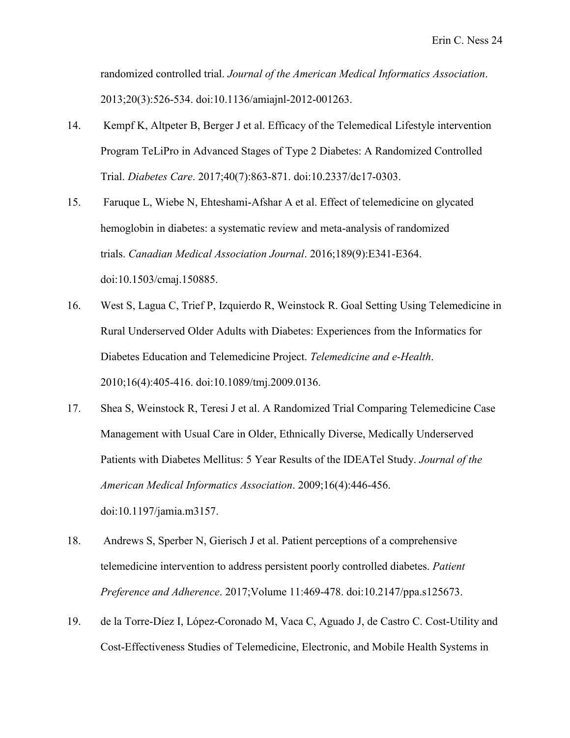randomized controlled trial. *Journal of the American Medical Informatics Association*. 2013;20(3):526-534. doi:10.1136/amiajnl-2012-001263.

- 14. Kempf K, Altpeter B, Berger J et al. Efficacy of the Telemedical Lifestyle intervention Program TeLiPro in Advanced Stages of Type 2 Diabetes: A Randomized Controlled Trial. *Diabetes Care*. 2017;40(7):863-871. doi:10.2337/dc17-0303.
- 15. Faruque L, Wiebe N, Ehteshami-Afshar A et al. Effect of telemedicine on glycated hemoglobin in diabetes: a systematic review and meta-analysis of randomized trials. *Canadian Medical Association Journal*. 2016;189(9):E341-E364. doi:10.1503/cmaj.150885.
- 16. West S, Lagua C, Trief P, Izquierdo R, Weinstock R. Goal Setting Using Telemedicine in Rural Underserved Older Adults with Diabetes: Experiences from the Informatics for Diabetes Education and Telemedicine Project. *Telemedicine and e-Health*. 2010;16(4):405-416. doi:10.1089/tmj.2009.0136.
- 17. Shea S, Weinstock R, Teresi J et al. A Randomized Trial Comparing Telemedicine Case Management with Usual Care in Older, Ethnically Diverse, Medically Underserved Patients with Diabetes Mellitus: 5 Year Results of the IDEATel Study. *Journal of the American Medical Informatics Association*. 2009;16(4):446-456. doi:10.1197/jamia.m3157.
- 18. Andrews S, Sperber N, Gierisch J et al. Patient perceptions of a comprehensive telemedicine intervention to address persistent poorly controlled diabetes. *Patient Preference and Adherence*. 2017;Volume 11:469-478. doi:10.2147/ppa.s125673.
- 19. de la Torre-Díez I, López-Coronado M, Vaca C, Aguado J, de Castro C. Cost-Utility and Cost-Effectiveness Studies of Telemedicine, Electronic, and Mobile Health Systems in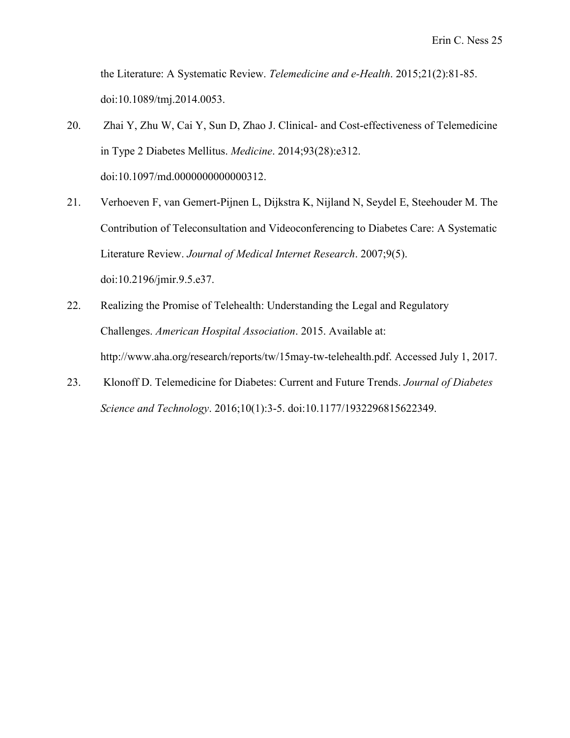the Literature: A Systematic Review. *Telemedicine and e-Health*. 2015;21(2):81-85. doi:10.1089/tmj.2014.0053.

- 20. Zhai Y, Zhu W, Cai Y, Sun D, Zhao J. Clinical- and Cost-effectiveness of Telemedicine in Type 2 Diabetes Mellitus. *Medicine*. 2014;93(28):e312. doi:10.1097/md.0000000000000312.
- 21. Verhoeven F, van Gemert-Pijnen L, Dijkstra K, Nijland N, Seydel E, Steehouder M. The Contribution of Teleconsultation and Videoconferencing to Diabetes Care: A Systematic Literature Review. *Journal of Medical Internet Research*. 2007;9(5). doi:10.2196/jmir.9.5.e37.
- 22. Realizing the Promise of Telehealth: Understanding the Legal and Regulatory Challenges. *American Hospital Association*. 2015. Available at: http://www.aha.org/research/reports/tw/15may-tw-telehealth.pdf. Accessed July 1, 2017.
- 23. Klonoff D. Telemedicine for Diabetes: Current and Future Trends. *Journal of Diabetes Science and Technology*. 2016;10(1):3-5. doi:10.1177/1932296815622349.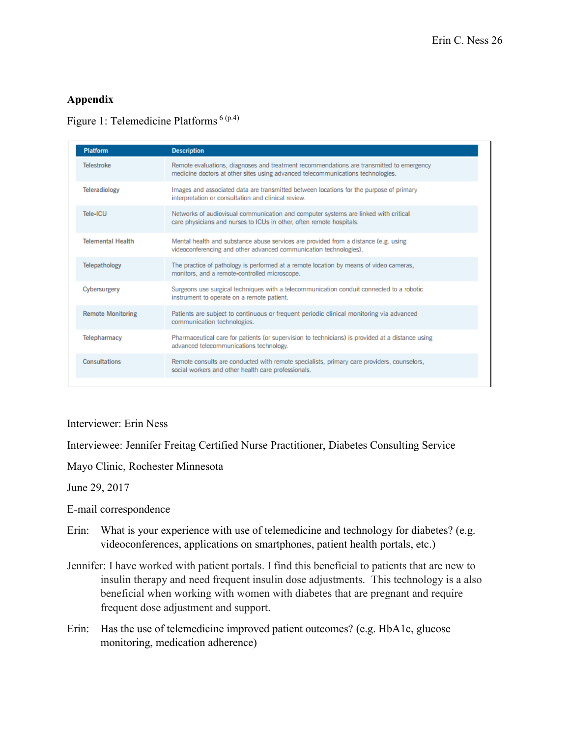# **Appendix**

## Figure 1: Telemedicine Platforms 6 (p.4)

| <b>Platform</b>          | <b>Description</b>                                                                                                                                                          |
|--------------------------|-----------------------------------------------------------------------------------------------------------------------------------------------------------------------------|
| Telestroke               | Remote evaluations, diagnoses and treatment recommendations are transmitted to emergency<br>medicine doctors at other sites using advanced telecommunications technologies. |
| <b>Teleradiology</b>     | Images and associated data are transmitted between locations for the purpose of primary<br>interpretation or consultation and clinical review.                              |
| Tele-ICU                 | Networks of audiovisual communication and computer systems are linked with critical<br>care physicians and nurses to ICUs in other, often remote hospitals.                 |
| <b>Telemental Health</b> | Mental health and substance abuse services are provided from a distance (e.g. using<br>videoconferencing and other advanced communication technologies).                    |
| Telepathology            | The practice of pathology is performed at a remote location by means of video cameras,<br>monitors, and a remote-controlled microscope.                                     |
| Cybersurgery             | Surgeons use surgical techniques with a telecommunication conduit connected to a robotic<br>instrument to operate on a remote patient.                                      |
| <b>Remote Monitoring</b> | Patients are subject to continuous or frequent periodic clinical monitoring via advanced<br>communication technologies.                                                     |
| Telepharmacy             | Pharmaceutical care for patients (or supervision to technicians) is provided at a distance using<br>advanced telecommunications technology.                                 |
| <b>Consultations</b>     | Remote consults are conducted with remote specialists, primary care providers, counselors,<br>social workers and other health care professionals.                           |

Interviewer: Erin Ness

Interviewee: Jennifer Freitag Certified Nurse Practitioner, Diabetes Consulting Service

Mayo Clinic, Rochester Minnesota

June 29, 2017

E-mail correspondence

- Erin: What is your experience with use of telemedicine and technology for diabetes? (e.g. videoconferences, applications on smartphones, patient health portals, etc.)
- Jennifer: I have worked with patient portals. I find this beneficial to patients that are new to insulin therapy and need frequent insulin dose adjustments. This technology is a also beneficial when working with women with diabetes that are pregnant and require frequent dose adjustment and support.
- Erin: Has the use of telemedicine improved patient outcomes? (e.g. HbA1c, glucose monitoring, medication adherence)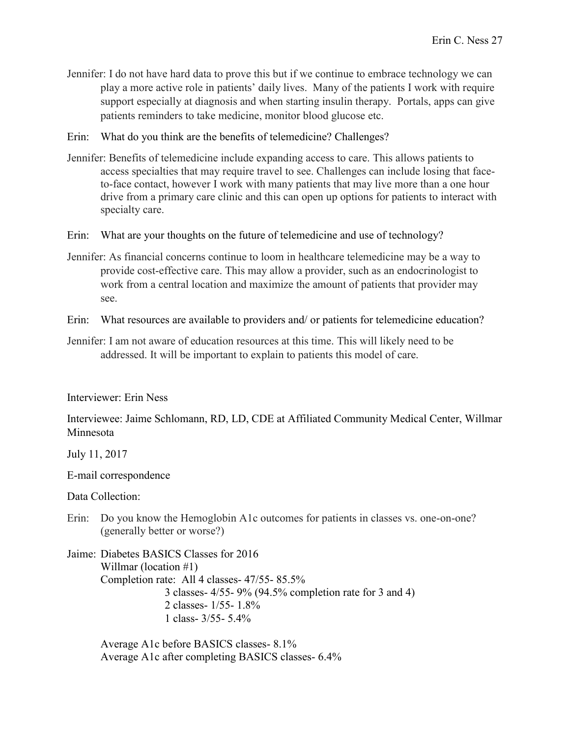- Jennifer: I do not have hard data to prove this but if we continue to embrace technology we can play a more active role in patients' daily lives. Many of the patients I work with require support especially at diagnosis and when starting insulin therapy. Portals, apps can give patients reminders to take medicine, monitor blood glucose etc.
- Erin: What do you think are the benefits of telemedicine? Challenges?
- Jennifer: Benefits of telemedicine include expanding access to care. This allows patients to access specialties that may require travel to see. Challenges can include losing that faceto-face contact, however I work with many patients that may live more than a one hour drive from a primary care clinic and this can open up options for patients to interact with specialty care.
- Erin: What are your thoughts on the future of telemedicine and use of technology?
- Jennifer: As financial concerns continue to loom in healthcare telemedicine may be a way to provide cost-effective care. This may allow a provider, such as an endocrinologist to work from a central location and maximize the amount of patients that provider may see.
- Erin: What resources are available to providers and/ or patients for telemedicine education?
- Jennifer: I am not aware of education resources at this time. This will likely need to be addressed. It will be important to explain to patients this model of care.

Interviewer: Erin Ness

Interviewee: Jaime Schlomann, RD, LD, CDE at Affiliated Community Medical Center, Willmar Minnesota

July 11, 2017

E-mail correspondence

Data Collection:

Erin: Do you know the Hemoglobin A1c outcomes for patients in classes vs. one-on-one? (generally better or worse?)

Jaime: Diabetes BASICS Classes for 2016 Willmar (location #1) Completion rate: All 4 classes- 47/55- 85.5% 3 classes- 4/55- 9% (94.5% completion rate for 3 and 4) 2 classes- 1/55- 1.8% 1 class-  $3/55 - 5.4\%$ 

Average A1c before BASICS classes- 8.1% Average A1c after completing BASICS classes- 6.4%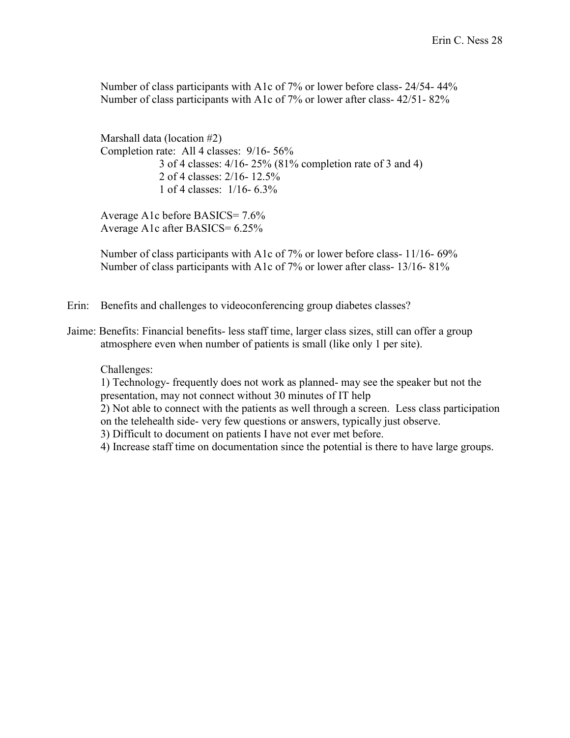Number of class participants with A1c of 7% or lower before class- 24/54- 44% Number of class participants with A1c of 7% or lower after class- 42/51- 82%

Marshall data (location #2) Completion rate: All 4 classes: 9/16- 56% 3 of 4 classes: 4/16- 25% (81% completion rate of 3 and 4) 2 of 4 classes: 2/16- 12.5% 1 of 4 classes: 1/16- 6.3%

Average A1c before BASICS= 7.6% Average A1c after BASICS= 6.25%

Number of class participants with A1c of 7% or lower before class- 11/16- 69% Number of class participants with A1c of 7% or lower after class- 13/16- 81%

- Erin: Benefits and challenges to videoconferencing group diabetes classes?
- Jaime: Benefits: Financial benefits- less staff time, larger class sizes, still can offer a group atmosphere even when number of patients is small (like only 1 per site).

Challenges:

1) Technology- frequently does not work as planned- may see the speaker but not the presentation, may not connect without 30 minutes of IT help

2) Not able to connect with the patients as well through a screen. Less class participation on the telehealth side- very few questions or answers, typically just observe.

3) Difficult to document on patients I have not ever met before.

4) Increase staff time on documentation since the potential is there to have large groups.